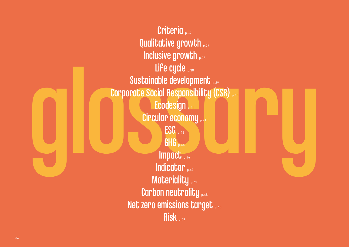Inclusive growth<br>
Life cycle<br>
Sustainable development<br>
Corporate Social Responsibility (CSR)<br>
Corporate Social Responsibility (CSR)<br>
Ecodesign<br>
Circular economy<br>
ESG<br>
Indicator<br>
Impact Criteria <sub>p.37</sub> Qualitative growth p.37 Inclusive growth p.38 Life cycle p.38 Sustainable development p.39 Corporate Social Responsibility (CSR) Ecodesign **p.41** Circular economy p.41  $ESG_{p.43}$ **GHG** p.46 Impact p.46 Indicator p.47 Materiality p.47 Carbon neutrality p.48 Net zero emissions target p.48 Risk p.49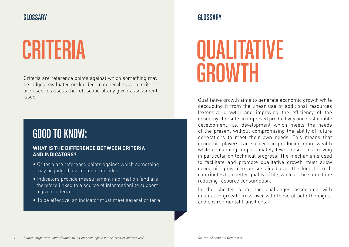Criteria are reference points against which something may be judged, evaluated or decided. In general, several criteria are used to assess the full scope of any given assessment

### GOOD TO KNOW:

### **WHAT IS THE DIFFERENCE BETWEEN CRITERIA AND INDICATORS?**

- Criteria are reference points against which something may be judged, evaluated or decided.
- Indicators provide measurement information (and are therefore linked to a source of information) to support a given criteria.
- To be effective, an indicator must meet several criteria

### CRITERIA QUALITATIVE **GROWTH**

issue. Qualitative growth aims to generate economic growth while decoupling it from the linear use of additional resources (extensive growth) and improving the efficiency of the economy. It results in improved productivity and sustainable development, i.e. development which meets the needs of the present without compromising the ability of future generations to meet their own needs. This means that economic players can succeed in producing more wealth while consuming proportionately fewer resources, relying in particular on technical progress. The mechanisms used to facilitate and promote qualitative growth must allow economic growth to be sustained over the long term. It contributes to a better quality of life, while at the same time reducing resource consumption.

> In the shorter term, the challenges associated with qualitative growth cross over with those of both the digital and environmental transitions.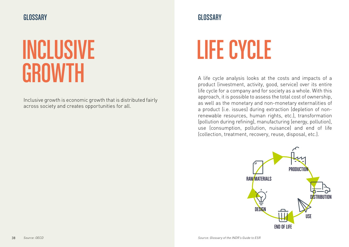

### INCLUSIVE **GROWTH**

Inclusive growth is economic growth that is distributed fairly across society and creates opportunities for all.

# LIFE CYCLE

A life cycle analysis looks at the costs and impacts of a product (investment, activity, good, service) over its entire life cycle for a company and for society as a whole. With this approach, it is possible to assess the total cost of ownership, as well as the monetary and non-monetary externalities of a product (i.e. issues) during extraction (depletion of nonrenewable resources, human rights, etc.), transformation (pollution during refining), manufacturing (energy, pollution), use (consumption, pollution, nuisance) and end of life (collection, treatment, recovery, reuse, disposal, etc.).

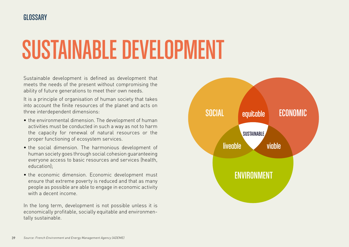# SUSTAINABLE DEVELOPMENT

Sustainable development is defined as development that meets the needs of the present without compromising the ability of future generations to meet their own needs.

It is a principle of organisation of human society that takes into account the finite resources of the planet and acts on three interdependent dimensions:

- the environmental dimension. The development of human activities must be conducted in such a way as not to harm the capacity for renewal of natural resources or the proper functioning of ecosystem services.
- the social dimension. The harmonious development of human society goes through social cohesion guaranteeing everyone access to basic resources and services (health, education);
- the economic dimension. Economic development must ensure that extreme poverty is reduced and that as many people as possible are able to engage in economic activity with a decent income.

In the long term, development is not possible unless it is economically profitable, socially equitable and environmentally sustainable.

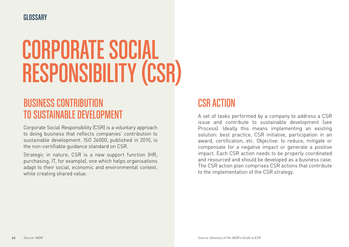### **GLOSSARY**

# CORPORATE SOCIAL RESPONSIBILITY (CSR)

### BUSINESS CONTRIBUTION TO SUSTAINABLE DEVELOPMENT

Corporate Social Responsibility (CSR) is a voluntary approach to doing business that reflects companies' contribution to sustainable development. ISO 26000, published in 2010, is the non-certifiable guidance standard on CSR.

Strategic in nature, CSR is a new support function (HR, purchasing, IT, for example), one which helps organisations adapt to their social, economic and environmental context, while creating shared value.

### CSR ACTION

A set of tasks performed by a company to address a CSR issue and contribute to sustainable development (see Process). Ideally this means implementing an existing solution: best practice, CSR initiative, participation in an award, certification, etc. Objective: to reduce, mitigate or compensate for a negative impact or generate a positive impact. Each CSR action needs to be properly coordinated and resourced and should be developed as a business case. The CSR action plan comprises CSR actions that contribute to the implementation of the CSR strategy.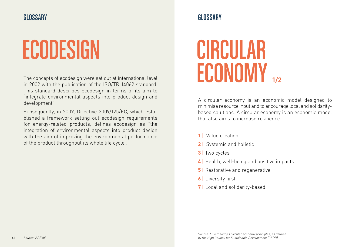# ECODESIGN CIRCULAR

The concepts of ecodesign were set out at international level in 2002 with the publication of the ISO/TR 14062 standard. This standard describes ecodesign in terms of its aim to "integrate environmental aspects into product design and development".

Subsequently, in 2009, Directive 2009/125/EC, which established a framework setting out ecodesign requirements for energy-related products, defines ecodesign as "the integration of environmental aspects into product design with the aim of improving the environmental performance of the product throughout its whole life cycle".

# ECONOMY **1/2**

A circular economy is an economic model designed to minimise resource input and to encourage local and solidaritybased solutions. A circular economy is an economic model that also aims to increase resilience.

- **1 |** Value creation
- **2 |** Systemic and holistic
- **3 |** Two cycles
- **4 |** Health, well-being and positive impacts
- **5** | Restorative and regenerative
- **6 |** Diversity first
- **7** | Local and solidarity-based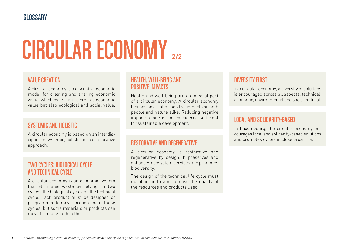# CIRCULAR ECONOMY **2/2**

### VALUE CREATION

A circular economy is a disruptive economic model for creating and sharing economic value, which by its nature creates economic value but also ecological and social value.

### SYSTEMIC AND HOLISTIC

A circular economy is based on an interdisciplinary, systemic, holistic and collaborative approach.

### TWO CYCLES: BIOLOGICAL CYCLE AND TECHNICAL CYCLE

A circular economy is an economic system that eliminates waste by relying on two cycles: the biological cycle and the technical cycle. Each product must be designed or programmed to move through one of these cycles, but some materials or products can move from one to the other.

### HEALTH, WELL-BEING AND POSITIVE IMPACTS

Health and well-being are an integral part of a circular economy. A circular economy focuses on creating positive impacts on both people and nature alike. Reducing negative impacts alone is not considered sufficient for sustainable development.

### RESTORATIVE AND REGENERATIVE

A circular economy is restorative and regenerative by design. It preserves and enhances ecosystem services and promotes biodiversity.

The design of the technical life cycle must maintain and even increase the quality of the resources and products used.

### DIVERSITY FIRST

In a circular economy, a diversity of solutions is encouraged across all aspects: technical, economic, environmental and socio-cultural.

### LOCAL AND SOLIDARITY-BASED

In Luxembourg, the circular economy encourages local and solidarity-based solutions and promotes cycles in close proximity.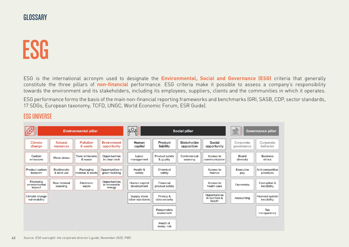### ESG

ESG is the international acronym used to designate the **Environmental, Social and Governance (ESG)** criteria that generally constitute the three pillars of **non-financial** performance. ESG criteria make it possible to assess a company's responsibility towards the environment and its stakeholders, including its employees, suppliers, clients and the communities in which it operates.

ESG performance forms the basis of the main non-financial reporting frameworks and benchmarks (GRI, SASB, CDP, sector standards, 17 SDGs, European taxonomy, TCFD, UNGC, World Economic Forum, ESR Guide).

### ESG UNIVERSE

|                                      |                             | <b>Environmental pillar</b>       |                                         | $ 0\bigcirc o $                 | <b>Social pillar</b>        |                           |                                           | Ph.<br>Governance pillar<br>0000 |                                        |
|--------------------------------------|-----------------------------|-----------------------------------|-----------------------------------------|---------------------------------|-----------------------------|---------------------------|-------------------------------------------|----------------------------------|----------------------------------------|
| Climate<br>change                    | <b>Natural</b><br>resources | Pollution<br>& waste              | <b>Environment</b><br>opportunity       | Human<br>capital                | Product<br>liability        | Stakeholder<br>opposition | Social<br>opportunity                     | Corporate<br>governance          | Corporate<br>behavior                  |
| Carbon<br>emissions                  | <b>Water stress</b>         | <b>Toxic emissions</b><br>& waste | Opportunities<br>in clean tech          | Labor<br>management             | Product safety<br>& quality | Controversial<br>sourcing | Access to<br>communication                | <b>Board</b><br>diversity        | <b>Business</b><br>ethics              |
| Product carbon<br>footprint          | Biodiversity<br>& land use  | Packaging<br>material & waste     | Opportunities in<br>green building      | Health &<br>safety              | Chemical<br>safety          |                           | Access to<br>finance                      | Executive<br>pay                 | Anti-competitive<br>practices          |
| Financing<br>environmental<br>impact | Raw material<br>sourcing    | Electronic<br>waste               | Opportunities<br>in renewable<br>energy | Human capital<br>development    | Financial<br>product safety |                           | Access to<br>health care                  | Ownership                        | Corruption &<br>instability            |
| Climate change<br>vulnerability      |                             |                                   |                                         | Supply chain<br>labor standards | Privacy &<br>data security  |                           | Opportunities<br>in nutrition &<br>health | Accounting                       | <b>Financial system</b><br>instability |
|                                      |                             |                                   |                                         |                                 | Responsible<br>investment   |                           |                                           |                                  | Tax<br>transparency                    |
|                                      |                             |                                   |                                         |                                 | Health &<br>demo. risk      |                           |                                           |                                  |                                        |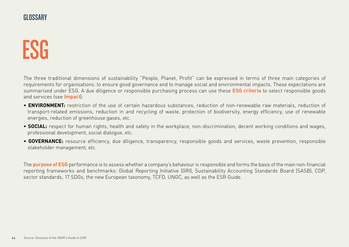### ESG

The three traditional dimensions of sustainability "People, Planet, Profit" can be expressed in terms of three main categories of requirements for organisations: to ensure good governance and to manage social and environmental impacts. These expectations are summarised under ESG. A due diligence or responsible purchasing process can use these **ESG criteria** to select responsible goods and services (see **Impact**):

- **ENVIRONMENT:** restriction of the use of certain hazardous substances, reduction of non-renewable raw materials, reduction of transport-related emissions, reduction in and recycling of waste, protection of biodiversity, energy efficiency, use of renewable energies, reduction of greenhouse gases, etc.
- **SOCIAL:** respect for human rights, health and safety in the workplace, non-discrimination, decent working conditions and wages, professional development, social dialogue, etc.
- **GOVERNANCE:** resource efficiency, due diligence, transparency, responsible goods and services, waste prevention, responsible stakeholder management, etc.

The **purpose of ESG** performance is to assess whether a company's behaviour is responsible and forms the basis of the main non-financial reporting frameworks and benchmarks: Global Reporting Initiative (GRI), Sustainability Accounting Standards Board (SASB), CDP, sector standards, 17 SDGs, the new European taxonomy, TCFD, UNGC, as well as the ESR Guide.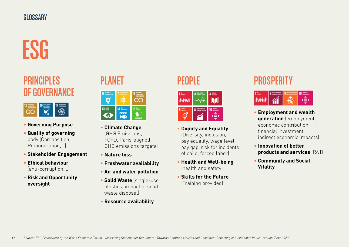# ESG

### PRINCIPLES OF GOVERNANCE



- **Governing Purpose**
- **Quality of governing** body (Composition, Remuneration,…)
- **Stakeholder Engagement**
- **Ethical behaviour** (anti-corruption,…)
- **Risk and Opportunity oversight**

### PLANET



- **Climate Change** (GHG Emissions, TCFD, Paris-aligned GHG emissions targets)
- **Nature loss**
- **Freshwater availability**
- **Air and water pollution**
- **Solid Waste** (single-use plastics, impact of solid waste disposal)
- **Resource availability**

### PEOPLE



- **Dignity and Equality** (Diversity, inclusion, pay equality, wage level, pay gap, risk for incidents of child, forced labor)
- **Health and Well-being** (health and safety)
- **Skills for the Future** (Training provided)

### **PROSPERITY**



- **Employment and wealth generation** (employment, economic contribution, financial investment, indirect economic impacts)
- **Innovation of better products and services** (R&D)
- **Community and Social Vitality**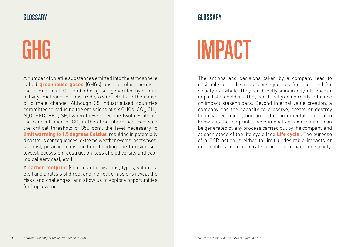A number of volatile substances emitted into the atmosphere called **greenhouse gases** (GHGs) absorb solar energy in the form of heat. CO $_{\textrm{\tiny{2}}}$  and other gases generated by human activity (methane, nitrous oxide, ozone, etc.) are the cause of climate change. Although 38 industrialised countries committed to reducing the emissions of six GHGs (CO $_{\textrm{\tiny{2}}}$ , CH $_{\textrm{\tiny{4}}}$ ,  $\mathsf{N}_2\mathsf{O}$ , HFC, PFC, SF $_{\delta}$ ) when they signed the Kyoto Protocol, the concentration of CO $_{_2}$  in the atmosphere has exceeded the critical threshold of 350 ppm, the level necessary to **limit warming to 1.5 degrees Celsius**, resulting in potentially disastrous consequences: extreme weather events (heatwaves, storms), polar ice caps melting (flooding due to rising sea levels), ecosystem destruction (loss of biodiversity and ecological services), etc.).

A **carbon footprint** (sources of emissions, types, volumes, etc.) and analysis of direct and indirect emissions reveal the risks and challenges, and allow us to explore opportunities for improvement.

# GHG IMPACT

The actions and decisions taken by a company lead to desirable or undesirable consequences for itself and for society as a whole. They can directly or indirectly influence or impact stakeholders. They can directly or indirectly influence or impact stakeholders. Beyond internal value creation, a company has the capacity to preserve, create or destroy financial, economic, human and environmental value, also known as the footprint. These impacts or externalities can be generated by any process carried out by the company and at each stage of the life cycle (see **Life cycle**). The purpose of a CSR action is either to limit undesirable impacts or externalities or to generate a positive impact for society.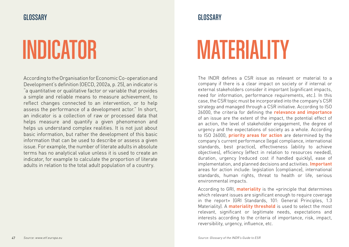According to the Organisation for Economic Co-operation and Development's definition (OECD, 2002a, p. 25), an indicator is "a quantitative or qualitative factor or variable that provides a simple and reliable means to measure achievement, to reflect changes connected to an intervention, or to help assess the performance of a development actor." In short, an indicator is a collection of raw or processed data that helps measure and quantify a given phenomenon and helps us understand complex realities. It is not just about basic information, but rather the development of this basic information that can be used to describe or assess a given issue. For example, the number of literate adults in absolute terms has no analytical value unless it is used to create an indicator, for example to calculate the proportion of literate adults in relation to the total adult population of a country.

# INDICATOR MATERIALITY

The INDR defines a CSR issue as relevant or material to a company if there is a clear impact on society or if internal or external stakeholders consider it important (significant impacts, need for information, performance requirements, etc.). In this case, the CSR topic must be incorporated into the company's CSR strategy and managed through a CSR initiative. According to ISO 26000, the criteria for defining the **relevance and importance** of an issue are the extent of the impact, the potential effect of an action, the level of stakeholder engagement, the degree of urgency and the expectations of society as a whole. According to ISO 26000, **priority areas for action** are determined by the company's current performance (legal compliance, international standards, best practice), effectiveness (ability to achieve objectives), efficiency (effect in relation to resources needed), duration, urgency (reduced cost if handled quickly), ease of implementation, and planned decisions and activities. **Important** areas for action include: legislation (compliance), international standards, human rights, threat to health or life, serious environmental impacts.

According to GRI, **materiality** is the «principle that determines which relevant issues are significant enough to require coverage in the report» (GRI Standards, 101: General Principles, 1.3 Materiality). A **materiality threshold** is used to select the most relevant, significant or legitimate needs, expectations and interests according to the criteria of importance, risk, impact, reversibility, urgency, influence, etc.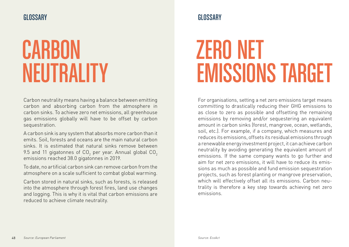### **CARBON** NEUTRALITY

Carbon neutrality means having a balance between emitting carbon and absorbing carbon from the atmosphere in carbon sinks. To achieve zero net emissions, all greenhouse gas emissions globally will have to be offset by carbon sequestration.

A carbon sink is any system that absorbs more carbon than it emits. Soil, forests and oceans are the main natural carbon sinks. It is estimated that natural sinks remove between 9.5 and 11 gigatonnes of CO $_2$  per year. Annual global CO $_2$ emissions reached 38.0 gigatonnes in 2019.

To date, no artificial carbon sink can remove carbon from the atmosphere on a scale sufficient to combat global warming.

Carbon stored in natural sinks, such as forests, is released into the atmosphere through forest fires, land use changes and logging. This is why it is vital that carbon emissions are reduced to achieve climate neutrality.

## ZERO NET EMISSIONS TARGET

For organisations, setting a net zero emissions target means committing to drastically reducing their GHG emissions to as close to zero as possible and offsetting the remaining emissions by removing and/or sequestering an equivalent amount in carbon sinks (forest, mangrove, ocean, wetlands, soil, etc.). For example, if a company, which measures and reduces its emissions, offsets its residual emissions through a renewable energy investment project, it can achieve carbon neutrality by avoiding generating the equivalent amount of emissions. If the same company wants to go further and aim for net zero emissions, it will have to reduce its emissions as much as possible and fund emission sequestration projects, such as forest planting or mangrove preservation, which will effectively offset all its emissions. Carbon neutrality is therefore a key step towards achieving net zero emissions.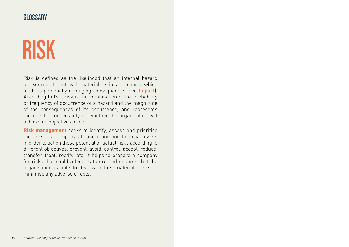### **GLOSSARY**

### RISK

Risk is defined as the likelihood that an internal hazard or external threat will materialise in a scenario which leads to potentially damaging consequences (see **Impact**). According to ISO, risk is the combination of the probability or frequency of occurrence of a hazard and the magnitude of the consequences of its occurrence, and represents the effect of uncertainty on whether the organisation will achieve its objectives or not.

**Risk management** seeks to identify, assess and prioritise the risks to a company's financial and non-financial assets in order to act on these potential or actual risks according to different objectives: prevent, avoid, control, accept, reduce, transfer, treat, rectify, etc. It helps to prepare a company for risks that could affect its future and ensures that the organisation is able to deal with the "material" risks to minimise any adverse effects.